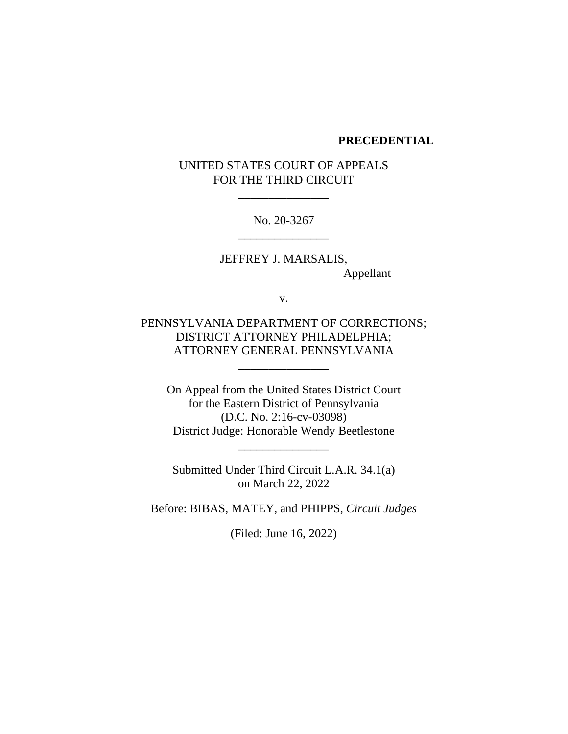#### **PRECEDENTIAL**

## UNITED STATES COURT OF APPEALS FOR THE THIRD CIRCUIT

\_\_\_\_\_\_\_\_\_\_\_\_\_\_\_

No. 20-3267 \_\_\_\_\_\_\_\_\_\_\_\_\_\_\_

JEFFREY J. MARSALIS, Appellant

v.

PENNSYLVANIA DEPARTMENT OF CORRECTIONS; DISTRICT ATTORNEY PHILADELPHIA; ATTORNEY GENERAL PENNSYLVANIA

\_\_\_\_\_\_\_\_\_\_\_\_\_\_\_

On Appeal from the United States District Court for the Eastern District of Pennsylvania (D.C. No. 2:16-cv-03098) District Judge: Honorable Wendy Beetlestone

\_\_\_\_\_\_\_\_\_\_\_\_\_\_\_

Submitted Under Third Circuit L.A.R. 34.1(a) on March 22, 2022

Before: BIBAS, MATEY, and PHIPPS, *Circuit Judges*

(Filed: June 16, 2022)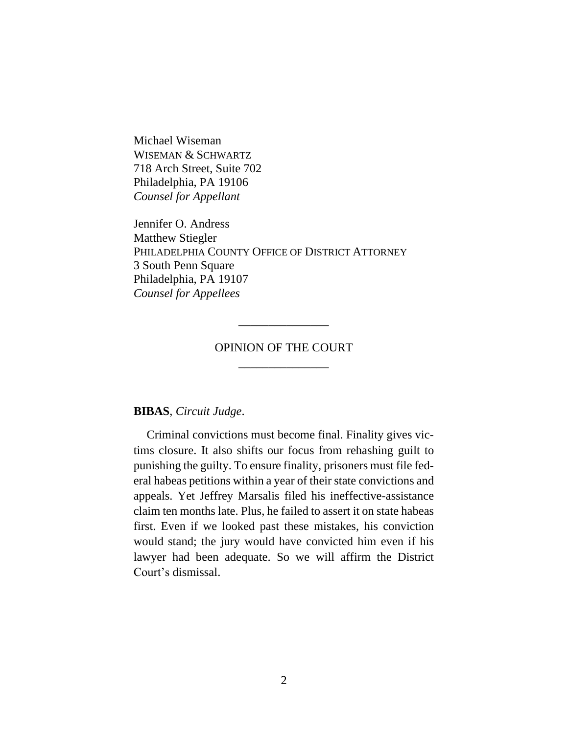Michael Wiseman WISEMAN & SCHWARTZ 718 Arch Street, Suite 702 Philadelphia, PA 19106 *Counsel for Appellant* 

Jennifer O. Andress Matthew Stiegler PHILADELPHIA COUNTY OFFICE OF DISTRICT ATTORNEY 3 South Penn Square Philadelphia, PA 19107 *Counsel for Appellees*

# OPINION OF THE COURT \_\_\_\_\_\_\_\_\_\_\_\_\_\_\_

\_\_\_\_\_\_\_\_\_\_\_\_\_\_\_

**BIBAS**, *Circuit Judge*.

Criminal convictions must become final. Finality gives victims closure. It also shifts our focus from rehashing guilt to punishing the guilty. To ensure finality, prisoners must file federal habeas petitions within a year of their state convictions and appeals. Yet Jeffrey Marsalis filed his ineffective-assistance claim ten months late. Plus, he failed to assert it on state habeas first. Even if we looked past these mistakes, his conviction would stand; the jury would have convicted him even if his lawyer had been adequate. So we will affirm the District Court's dismissal.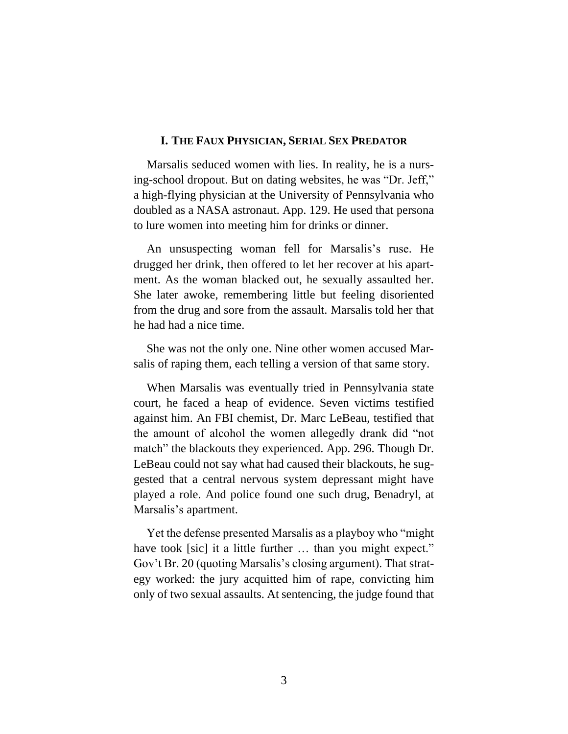#### **I. THE FAUX PHYSICIAN, SERIAL SEX PREDATOR**

Marsalis seduced women with lies. In reality, he is a nursing-school dropout. But on dating websites, he was "Dr. Jeff," a high-flying physician at the University of Pennsylvania who doubled as a NASA astronaut. App. 129. He used that persona to lure women into meeting him for drinks or dinner.

An unsuspecting woman fell for Marsalis's ruse. He drugged her drink, then offered to let her recover at his apartment. As the woman blacked out, he sexually assaulted her. She later awoke, remembering little but feeling disoriented from the drug and sore from the assault. Marsalis told her that he had had a nice time.

She was not the only one. Nine other women accused Marsalis of raping them, each telling a version of that same story.

When Marsalis was eventually tried in Pennsylvania state court, he faced a heap of evidence. Seven victims testified against him. An FBI chemist, Dr. Marc LeBeau, testified that the amount of alcohol the women allegedly drank did "not match" the blackouts they experienced. App. 296. Though Dr. LeBeau could not say what had caused their blackouts, he suggested that a central nervous system depressant might have played a role. And police found one such drug, Benadryl, at Marsalis's apartment.

Yet the defense presented Marsalis as a playboy who "might have took [sic] it a little further ... than you might expect." Gov't Br. 20 (quoting Marsalis's closing argument). That strategy worked: the jury acquitted him of rape, convicting him only of two sexual assaults. At sentencing, the judge found that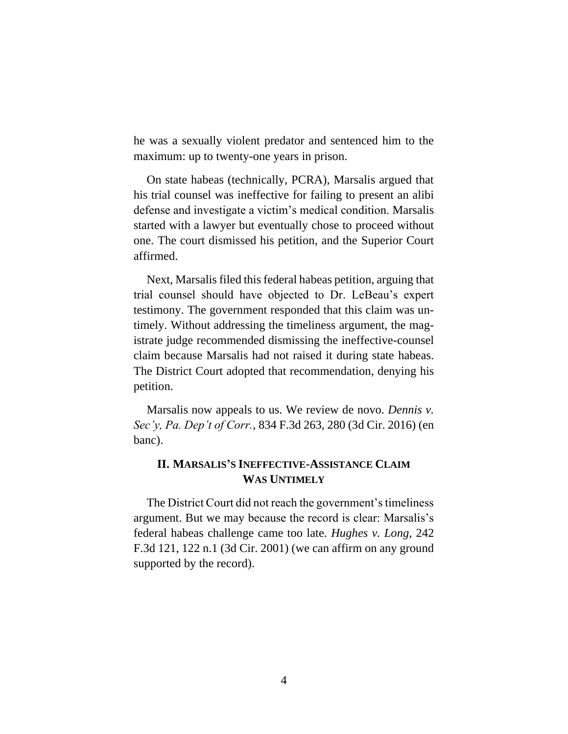he was a sexually violent predator and sentenced him to the maximum: up to twenty-one years in prison.

On state habeas (technically, PCRA), Marsalis argued that his trial counsel was ineffective for failing to present an alibi defense and investigate a victim's medical condition. Marsalis started with a lawyer but eventually chose to proceed without one. The court dismissed his petition, and the Superior Court affirmed.

Next, Marsalis filed this federal habeas petition, arguing that trial counsel should have objected to Dr. LeBeau's expert testimony. The government responded that this claim was untimely. Without addressing the timeliness argument, the magistrate judge recommended dismissing the ineffective-counsel claim because Marsalis had not raised it during state habeas. The District Court adopted that recommendation, denying his petition.

Marsalis now appeals to us. We review de novo. *Dennis v. Sec'y, Pa. Dep't of Corr.*, 834 F.3d 263, 280 (3d Cir. 2016) (en banc).

## **II. MARSALIS'S INEFFECTIVE-ASSISTANCE CLAIM WAS UNTIMELY**

The District Court did not reach the government's timeliness argument. But we may because the record is clear: Marsalis's federal habeas challenge came too late. *Hughes v. Long*, 242 F.3d 121, 122 n.1 (3d Cir. 2001) (we can affirm on any ground supported by the record).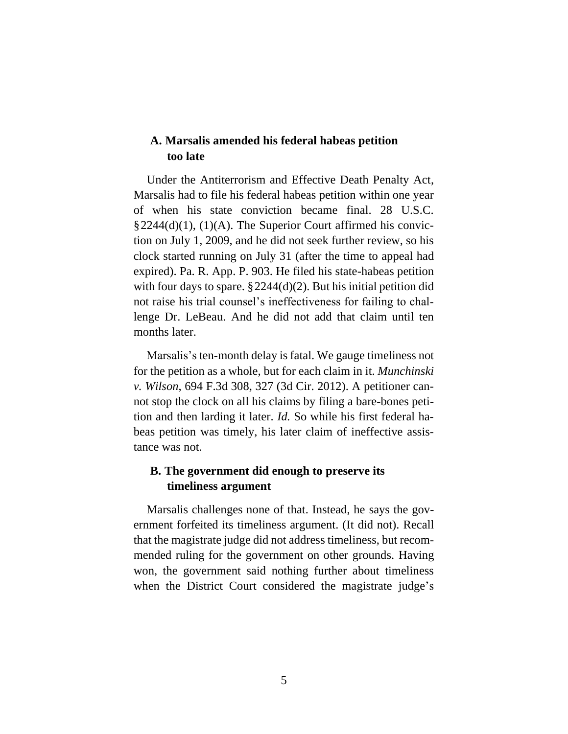## **A. Marsalis amended his federal habeas petition too late**

Under the Antiterrorism and Effective Death Penalty Act, Marsalis had to file his federal habeas petition within one year of when his state conviction became final. 28 U.S.C. §2244(d)(1), (1)(A). The Superior Court affirmed his conviction on July 1, 2009, and he did not seek further review, so his clock started running on July 31 (after the time to appeal had expired). Pa. R. App. P. 903. He filed his state-habeas petition with four days to spare.  $\S 2244(d)(2)$ . But his initial petition did not raise his trial counsel's ineffectiveness for failing to challenge Dr. LeBeau. And he did not add that claim until ten months later.

Marsalis's ten-month delay is fatal. We gauge timeliness not for the petition as a whole, but for each claim in it. *Munchinski v. Wilson*, 694 F.3d 308, 327 (3d Cir. 2012). A petitioner cannot stop the clock on all his claims by filing a bare-bones petition and then larding it later. *Id.* So while his first federal habeas petition was timely, his later claim of ineffective assistance was not.

## **B. The government did enough to preserve its timeliness argument**

Marsalis challenges none of that. Instead, he says the government forfeited its timeliness argument. (It did not). Recall that the magistrate judge did not address timeliness, but recommended ruling for the government on other grounds. Having won, the government said nothing further about timeliness when the District Court considered the magistrate judge's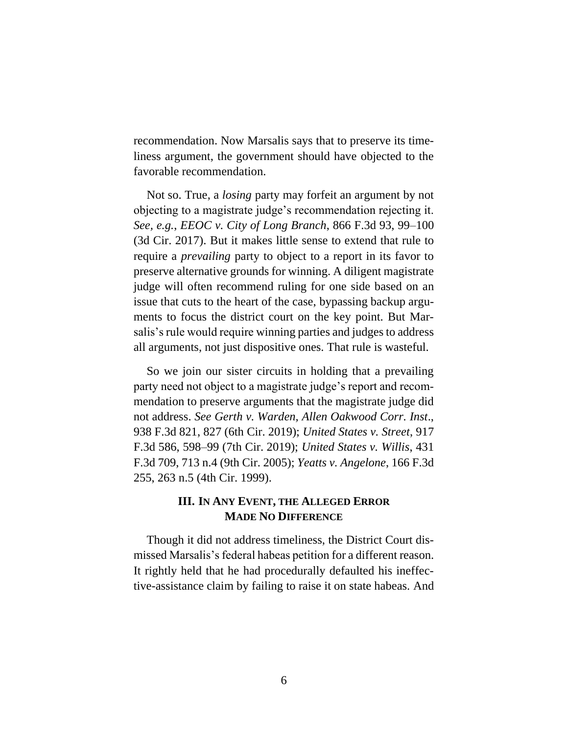recommendation. Now Marsalis says that to preserve its timeliness argument, the government should have objected to the favorable recommendation.

Not so. True, a *losing* party may forfeit an argument by not objecting to a magistrate judge's recommendation rejecting it. *See, e.g.*, *EEOC v. City of Long Branch*, 866 F.3d 93, 99–100 (3d Cir. 2017). But it makes little sense to extend that rule to require a *prevailing* party to object to a report in its favor to preserve alternative grounds for winning. A diligent magistrate judge will often recommend ruling for one side based on an issue that cuts to the heart of the case, bypassing backup arguments to focus the district court on the key point. But Marsalis's rule would require winning parties and judges to address all arguments, not just dispositive ones. That rule is wasteful.

So we join our sister circuits in holding that a prevailing party need not object to a magistrate judge's report and recommendation to preserve arguments that the magistrate judge did not address. *See Gerth v. Warden, Allen Oakwood Corr. Inst*., 938 F.3d 821, 827 (6th Cir. 2019); *United States v. Street*, 917 F.3d 586, 598–99 (7th Cir. 2019); *United States v. Willis*, 431 F.3d 709, 713 n.4 (9th Cir. 2005); *Yeatts v. Angelone*, 166 F.3d 255, 263 n.5 (4th Cir. 1999).

## **III. IN ANY EVENT, THE ALLEGED ERROR MADE NO DIFFERENCE**

Though it did not address timeliness, the District Court dismissed Marsalis's federal habeas petition for a different reason. It rightly held that he had procedurally defaulted his ineffective-assistance claim by failing to raise it on state habeas. And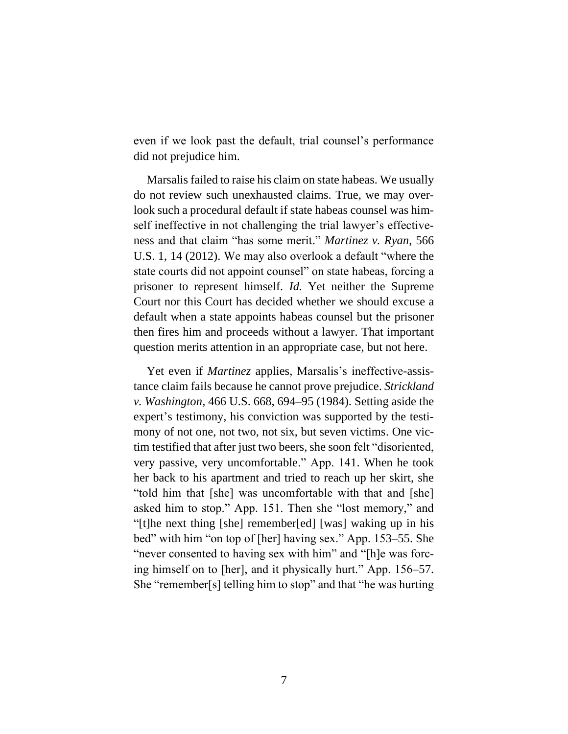even if we look past the default, trial counsel's performance did not prejudice him.

Marsalis failed to raise his claim on state habeas. We usually do not review such unexhausted claims. True, we may overlook such a procedural default if state habeas counsel was himself ineffective in not challenging the trial lawyer's effectiveness and that claim "has some merit." *Martinez v. Ryan*, 566 U.S. 1, 14 (2012). We may also overlook a default "where the state courts did not appoint counsel" on state habeas, forcing a prisoner to represent himself. *Id.* Yet neither the Supreme Court nor this Court has decided whether we should excuse a default when a state appoints habeas counsel but the prisoner then fires him and proceeds without a lawyer. That important question merits attention in an appropriate case, but not here.

Yet even if *Martinez* applies, Marsalis's ineffective-assistance claim fails because he cannot prove prejudice. *Strickland v. Washington*, 466 U.S. 668, 694–95 (1984). Setting aside the expert's testimony, his conviction was supported by the testimony of not one, not two, not six, but seven victims. One victim testified that after just two beers, she soon felt "disoriented, very passive, very uncomfortable." App. 141. When he took her back to his apartment and tried to reach up her skirt, she "told him that [she] was uncomfortable with that and [she] asked him to stop." App. 151. Then she "lost memory," and "[t]he next thing [she] remember[ed] [was] waking up in his bed" with him "on top of [her] having sex." App. 153–55. She "never consented to having sex with him" and "[h]e was forcing himself on to [her], and it physically hurt." App. 156–57. She "remember[s] telling him to stop" and that "he was hurting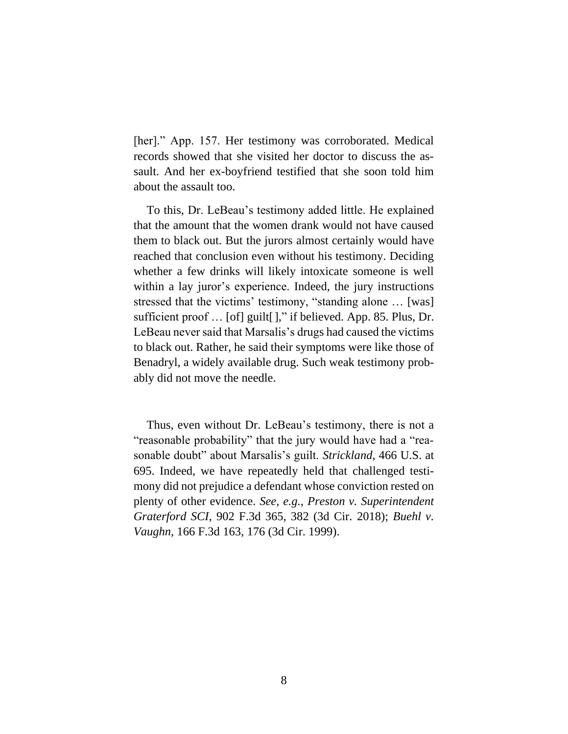[her]." App. 157. Her testimony was corroborated. Medical records showed that she visited her doctor to discuss the assault. And her ex-boyfriend testified that she soon told him about the assault too.

To this, Dr. LeBeau's testimony added little. He explained that the amount that the women drank would not have caused them to black out. But the jurors almost certainly would have reached that conclusion even without his testimony. Deciding whether a few drinks will likely intoxicate someone is well within a lay juror's experience. Indeed, the jury instructions stressed that the victims' testimony, "standing alone … [was] sufficient proof ... [of] guilt[]," if believed. App. 85. Plus, Dr. LeBeau never said that Marsalis's drugs had caused the victims to black out. Rather, he said their symptoms were like those of Benadryl, a widely available drug. Such weak testimony probably did not move the needle.

Thus, even without Dr. LeBeau's testimony, there is not a "reasonable probability" that the jury would have had a "reasonable doubt" about Marsalis's guilt. *Strickland*, 466 U.S. at 695. Indeed, we have repeatedly held that challenged testimony did not prejudice a defendant whose conviction rested on plenty of other evidence. *See, e.g.*, *Preston v. Superintendent Graterford SCI*, 902 F.3d 365, 382 (3d Cir. 2018); *Buehl v. Vaughn*, 166 F.3d 163, 176 (3d Cir. 1999).